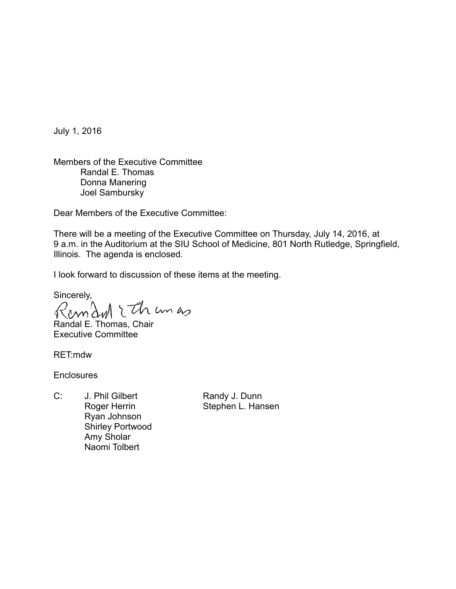July 1, 2016

Members of the Executive Committee Randal E. Thomas Donna Manering Joel Sambursky

Dear Members of the Executive Committee:

There will be a meeting of the Executive Committee on Thursday, July 14, 2016, at 9 a.m. in the Auditorium at the SIU School of Medicine, 801 North Rutledge, Springfield, Illinois. The agenda is enclosed.

I look forward to discussion of these items at the meeting.

Sincerely,<br>Raman Ithium as

Randal E. Thomas, Chair Executive Committee

RET:mdw

**Enclosures** 

C: J. Phil Gilbert Randy J. Dunn Ryan Johnson Shirley Portwood Amy Sholar Naomi Tolbert

Roger Herrin Stephen L. Hansen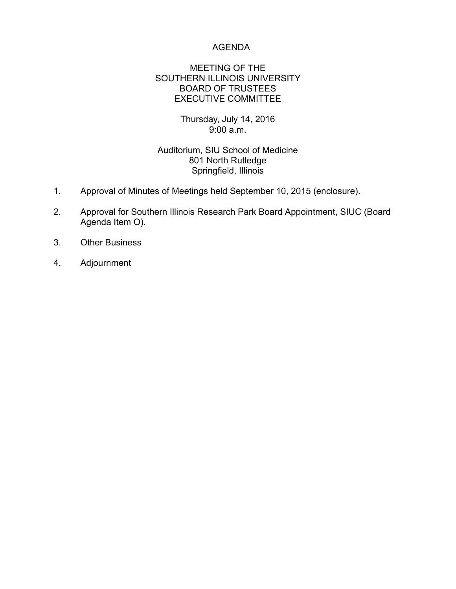### AGENDA

#### MEETING OF THE SOUTHERN ILLINOIS UNIVERSITY BOARD OF TRUSTEES EXECUTIVE COMMITTEE

### Thursday, July 14, 2016 9:00 a.m.

# Auditorium, SIU School of Medicine 801 North Rutledge Springfield, Illinois

- 1. Approval of Minutes of Meetings held September 10, 2015 (enclosure).
- 2. Approval for Southern Illinois Research Park Board Appointment, SIUC (Board Agenda Item O).
- 3. Other Business
- 4. Adjournment